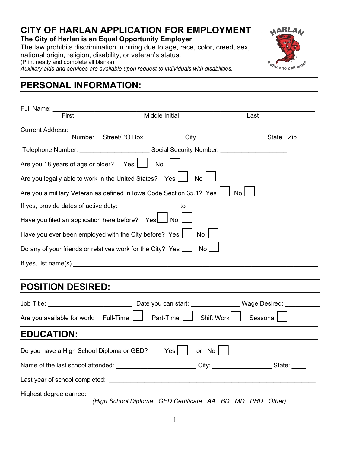## **CITY OF HARLAN APPLICATION FOR EMPLOYMENT**

**The City of Harlan is an Equal Opportunity Employer**

The law prohibits discrimination in hiring due to age, race, color, creed, sex, national origin, religion, disability, or veteran's status. (Print neatly and complete all blanks)

*Auxiliary aids and services are available upon request to individuals with disabilities.*



## **PERSONAL INFORMATION:**

| Full Name: _                                                                                        |                |                           |                 |
|-----------------------------------------------------------------------------------------------------|----------------|---------------------------|-----------------|
| First                                                                                               | Middle Initial |                           | Last            |
| <b>Current Address:</b><br><b>Number</b>                                                            | Street/PO Box  | City                      | State Zip       |
|                                                                                                     |                |                           |                 |
| Telephone Number: __________________________________Social Security Number: _______________________ |                |                           |                 |
| Are you 18 years of age or older? Yes                                                               | No             |                           |                 |
| Are you legally able to work in the United States? Yes [                                            |                | <b>No</b>                 |                 |
| Are you a military Veteran as defined in Iowa Code Section 35.1? Yes [                              |                |                           | No <sub>1</sub> |
| If yes, provide dates of active duty: ____________________ to                                       |                |                           |                 |
| Have you filed an application here before? Yes I No                                                 |                |                           |                 |
| Have you ever been employed with the City before? Yes                                               |                | <b>No</b>                 |                 |
| Do any of your friends or relatives work for the City? Yes                                          |                | <b>No</b>                 |                 |
| If yes, list $name(s)$                                                                              |                |                           |                 |
|                                                                                                     |                |                           |                 |
| <b>POSITION DESIRED:</b>                                                                            |                |                           |                 |
|                                                                                                     |                |                           | Wage Desired:   |
| Are you available for work: Full-Time                                                               | Part-Time      | Shift Work                | Seasonal        |
| <b>EDUCATION:</b>                                                                                   |                |                           |                 |
| Do you have a High School Diploma or GED?                                                           |                | Yes <sub>l</sub><br>or No |                 |
| Name of the last school attended: __________________________City: ___________________State: _____   |                |                           |                 |
|                                                                                                     |                |                           |                 |
| Highest degree earned:                                                                              |                |                           |                 |

 *(High School Diploma GED Certificate AA BD MD PHD Other)*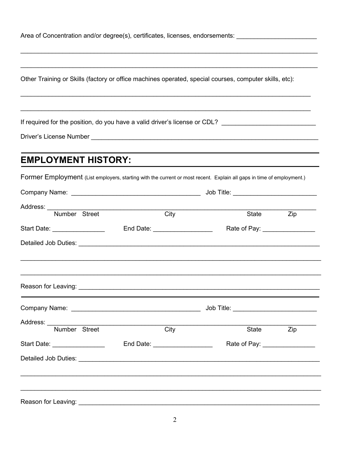| Area of Concentration and/or degree(s), certificates, licenses, endorsements: |  |
|-------------------------------------------------------------------------------|--|
|-------------------------------------------------------------------------------|--|

Other Training or Skills (factory or office machines operated, special courses, computer skills, etc):

If required for the position, do you have a valid driver's license or CDL?

## **EMPLOYMENT HISTORY:**

Former Employment (List employers, starting with the current or most recent. Explain all gaps in time of employment.)

|                                                                                                                        |               |                                | Job Title: __________________________ |  |                               |  |
|------------------------------------------------------------------------------------------------------------------------|---------------|--------------------------------|---------------------------------------|--|-------------------------------|--|
|                                                                                                                        | Number Street |                                | City                                  |  | State Zip                     |  |
|                                                                                                                        |               | End Date: ____________________ |                                       |  | Rate of Pay: ________________ |  |
| ,我们也不能在这里的人,我们也不能在这里的人,我们也不能在这里的人,我们也不能在这里的人,我们也不能在这里的人,我们也不能在这里的人,我们也不能在这里的人,我们也                                      |               |                                |                                       |  |                               |  |
|                                                                                                                        |               |                                |                                       |  |                               |  |
|                                                                                                                        |               |                                |                                       |  |                               |  |
| Number Street                                                                                                          |               |                                | City                                  |  | State Zip                     |  |
|                                                                                                                        |               | End Date: ___________________  |                                       |  | Rate of Pay: ________________ |  |
| <u> 1990 - Andrea San Andrea San Andrea San Andrea San Andrea San Andrea San Andrea San Andrea San Andrea San Andr</u> |               |                                |                                       |  |                               |  |
|                                                                                                                        |               |                                |                                       |  |                               |  |
|                                                                                                                        |               |                                |                                       |  |                               |  |